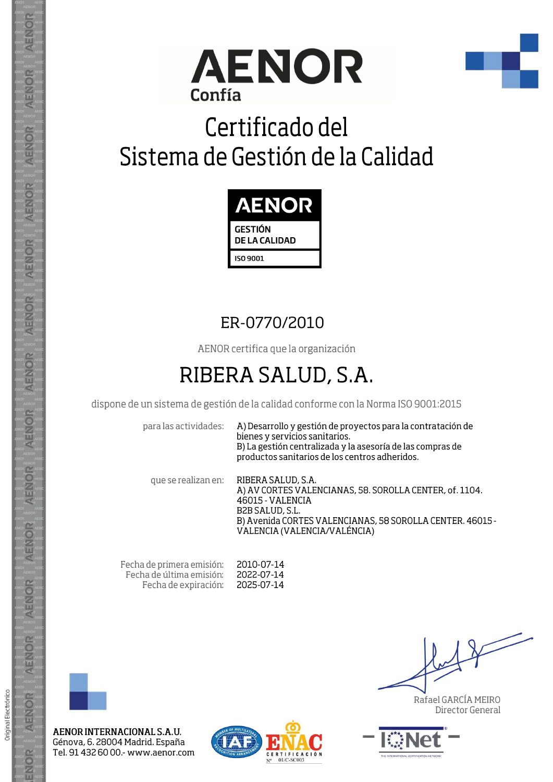



# Certificado del Sistema de Gestión de la Calidad



### ER-0770/2010

AENOR certifica que la organización

## RIBERA SALUD, S.A.

dispone de un sistema de gestión de la calidad conforme con la Norma ISO 9001:2015

para las actividades:

A) Desarrollo y gestión de proyectos para la contratación de bienes y servicios sanitarios. B) La gestión centralizada y la asesoría de las compras de productos sanitarios de los centros adheridos.

que se realizan en:

RIBERA SALUD, S.A. A) AV CORTES VALENCIANAS, 58. SOROLLA CENTER, of. 1104. 46015 - VALENCIA B2B SALUD, S.L. B) Avenida CORTES VALENCIANAS, 58 SOROLLA CENTER. 46015 -VALENCIA (VALENCIA/VALÉNCIA)

Fecha de primera emisión: Fecha de última emisión: Fecha de expiración:

2010-07-14 2022-07-14 2025-07-14



Original Electrónico

AENOR

ENOR

AENOR INTERNACIONAL S.A.U. Génova, 6. 28004 Madrid. España Tel. 91 432 60 00.- www.aenor.com



Rafael GARCÍA MEIRO Director General



AENOR ENOR ENOR **AENOR** AENOR AENOR **AENOR** AENOR ENOR AENOR AENOR AENOR